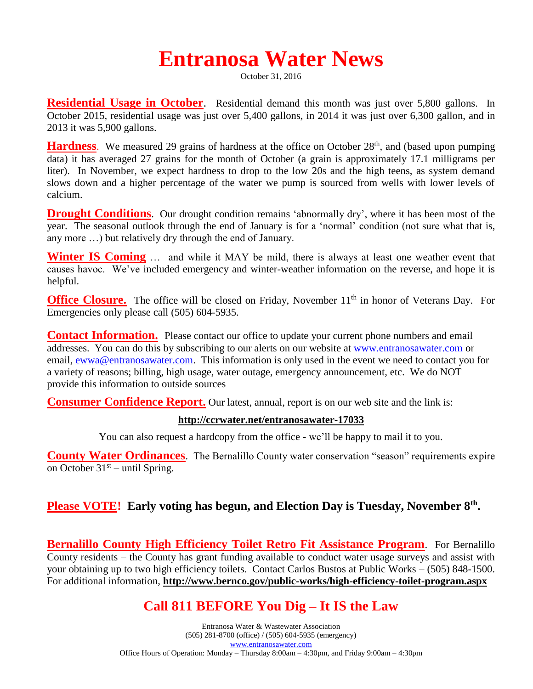# **Entranosa Water News**

October 31, 2016

**Residential Usage in October**. Residential demand this month was just over 5,800 gallons. In October 2015, residential usage was just over 5,400 gallons, in 2014 it was just over 6,300 gallon, and in 2013 it was 5,900 gallons.

**Hardness**. We measured 29 grains of hardness at the office on October 28<sup>th</sup>, and (based upon pumping data) it has averaged 27 grains for the month of October (a grain is approximately 17.1 milligrams per liter). In November, we expect hardness to drop to the low 20s and the high teens, as system demand slows down and a higher percentage of the water we pump is sourced from wells with lower levels of calcium.

**Drought Conditions**. Our drought condition remains 'abnormally dry', where it has been most of the year. The seasonal outlook through the end of January is for a 'normal' condition (not sure what that is, any more …) but relatively dry through the end of January.

**Winter IS Coming** ... and while it MAY be mild, there is always at least one weather event that causes havoc. We've included emergency and winter-weather information on the reverse, and hope it is helpful.

**Office Closure.** The office will be closed on Friday, November 11<sup>th</sup> in honor of Veterans Day. For Emergencies only please call (505) 604-5935.

**Contact Information.** Please contact our office to update your current phone numbers and email addresses. You can do this by subscribing to our alerts on our website at [www.entranosawater.com](http://www.entranosawater.com/) or email, [ewwa@entranosawater.com.](mailto:ewwa@entranosawater.com) This information is only used in the event we need to contact you for a variety of reasons; billing, high usage, water outage, emergency announcement, etc. We do NOT provide this information to outside sources

**Consumer Confidence Report.** Our latest, annual, report is on our web site and the link is:

#### **<http://ccrwater.net/entranosawater-17033>**

You can also request a hardcopy from the office - we'll be happy to mail it to you.

**County Water Ordinances**. The Bernalillo County water conservation "season" requirements expire on October  $31<sup>st</sup>$  – until Spring.

#### **Please VOTE! Early voting has begun, and Election Day is Tuesday, November 8th .**

**Bernalillo County High Efficiency Toilet Retro Fit Assistance Program**. For Bernalillo County residents – the County has grant funding available to conduct water usage surveys and assist with your obtaining up to two high efficiency toilets. Contact Carlos Bustos at Public Works – (505) 848-1500. For additional information, **http://www.bernco.gov/public-works/high-efficiency-toilet-program.aspx**

## **Call 811 BEFORE You Dig – It IS the Law**